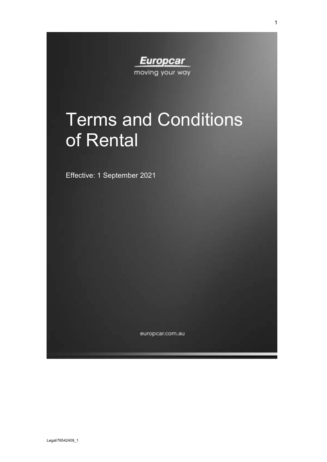**Europcar** moving your way

# Terms and Conditions of Rental

Effective: 1 September 2021

europcar.com.au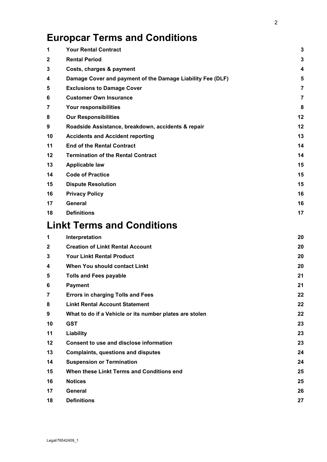# **Europcar Terms and Conditions**

| 1              | <b>Your Rental Contract</b>                                | 3              |
|----------------|------------------------------------------------------------|----------------|
| 2              | <b>Rental Period</b>                                       | 3              |
| 3              | Costs, charges & payment                                   | 4              |
| 4              | Damage Cover and payment of the Damage Liability Fee (DLF) | 5              |
| 5              | <b>Exclusions to Damage Cover</b>                          | 7              |
| 6              | <b>Customer Own Insurance</b>                              | $\overline{7}$ |
| 7              | Your responsibilities                                      | 8              |
| 8              | <b>Our Responsibilities</b>                                | 12             |
| 9              | Roadside Assistance, breakdown, accidents & repair         | 12             |
| 10             | <b>Accidents and Accident reporting</b>                    | 13             |
| 11             | <b>End of the Rental Contract</b>                          | 14             |
| 12             | <b>Termination of the Rental Contract</b>                  | 14             |
| 13             | <b>Applicable law</b>                                      | 15             |
| 14             | <b>Code of Practice</b>                                    | 15             |
| 15             | <b>Dispute Resolution</b>                                  | 15             |
| 16             | <b>Privacy Policy</b>                                      | 16             |
| 17             | <b>General</b>                                             | 16             |
| 18             | <b>Definitions</b>                                         | 17             |
|                | <b>Linkt Terms and Conditions</b>                          |                |
| 1              | Interpretation                                             | 20             |
| 2              | <b>Creation of Linkt Rental Account</b>                    | 20             |
| 3              | <b>Your Linkt Rental Product</b>                           | 20             |
| 4              | When You should contact Linkt                              | 20             |
| 5              | <b>Tolls and Fees payable</b>                              | 21             |
| 6              | <b>Payment</b>                                             | 21             |
| $\overline{7}$ | <b>Errors in charging Tolls and Fees</b>                   | 22             |
| 8              | <b>Linkt Rental Account Statement</b>                      | 22             |
| 9              | What to do if a Vehicle or its number plates are stolen    | 22             |
| 10             | <b>GST</b>                                                 | 23             |
| 11             | Liability                                                  | 23             |
| 12             | Consent to use and disclose information                    | 23             |
| 13             | <b>Complaints, questions and disputes</b>                  | 24             |
| 14             | <b>Suspension or Termination</b>                           | 24             |
| 15             | When these Linkt Terms and Conditions end                  | 25             |
| 16             | <b>Notices</b>                                             | 25             |
| 17             | General                                                    | 26             |
| 18             | <b>Definitions</b>                                         | 27             |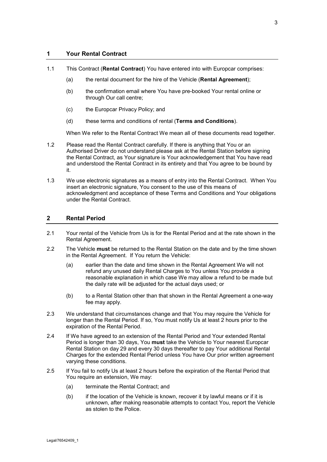#### <span id="page-2-0"></span>**1 Your Rental Contract**

- 1.1 This Contract (**Rental Contract**) You have entered into with Europcar comprises:
	- (a) the rental document for the hire of the Vehicle (**Rental Agreement**);
	- (b) the confirmation email where You have pre-booked Your rental online or through Our call centre;
	- (c) the Europcar Privacy Policy; and
	- (d) these terms and conditions of rental (**Terms and Conditions**).

When We refer to the Rental Contract We mean all of these documents read together.

- 1.2 Please read the Rental Contract carefully. If there is anything that You or an Authorised Driver do not understand please ask at the Rental Station before signing the Rental Contract, as Your signature is Your acknowledgement that You have read and understood the Rental Contract in its entirety and that You agree to be bound by it.
- 1.3 We use electronic signatures as a means of entry into the Rental Contract. When You insert an electronic signature, You consent to the use of this means of acknowledgment and acceptance of these Terms and Conditions and Your obligations under the Rental Contract.

#### <span id="page-2-1"></span>**2 Rental Period**

- 2.1 Your rental of the Vehicle from Us is for the Rental Period and at the rate shown in the Rental Agreement.
- 2.2 The Vehicle **must** be returned to the Rental Station on the date and by the time shown in the Rental Agreement. If You return the Vehicle:
	- (a) earlier than the date and time shown in the Rental Agreement We will not refund any unused daily Rental Charges to You unless You provide a reasonable explanation in which case We may allow a refund to be made but the daily rate will be adjusted for the actual days used; or
	- (b) to a Rental Station other than that shown in the Rental Agreement a one-way fee may apply.
- 2.3 We understand that circumstances change and that You may require the Vehicle for longer than the Rental Period. If so, You must notify Us at least 2 hours prior to the expiration of the Rental Period.
- 2.4 If We have agreed to an extension of the Rental Period and Your extended Rental Period is longer than 30 days, You **must** take the Vehicle to Your nearest Europcar Rental Station on day 29 and every 30 days thereafter to pay Your additional Rental Charges for the extended Rental Period unless You have Our prior written agreement varying these conditions.
- 2.5 If You fail to notify Us at least 2 hours before the expiration of the Rental Period that You require an extension, We may:
	- (a) terminate the Rental Contract; and
	- (b) if the location of the Vehicle is known, recover it by lawful means or if it is unknown, after making reasonable attempts to contact You, report the Vehicle as stolen to the Police.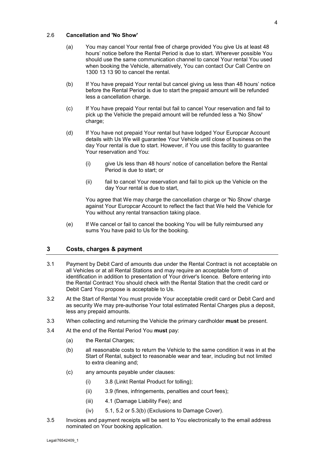#### 2.6 **Cancellation and 'No Show'**

- (a) You may cancel Your rental free of charge provided You give Us at least 48 hours' notice before the Rental Period is due to start. Wherever possible You should use the same communication channel to cancel Your rental You used when booking the Vehicle, alternatively, You can contact Our Call Centre on 1300 13 13 90 to cancel the rental.
- (b) If You have prepaid Your rental but cancel giving us less than 48 hours' notice before the Rental Period is due to start the prepaid amount will be refunded less a cancellation charge.
- (c) If You have prepaid Your rental but fail to cancel Your reservation and fail to pick up the Vehicle the prepaid amount will be refunded less a 'No Show' charge;
- (d) If You have not prepaid Your rental but have lodged Your Europcar Account details with Us We will guarantee Your Vehicle until close of business on the day Your rental is due to start. However, if You use this facility to guarantee Your reservation and You:
	- (i) give Us less than 48 hours' notice of cancellation before the Rental Period is due to start; or
	- (ii) fail to cancel Your reservation and fail to pick up the Vehicle on the day Your rental is due to start,

You agree that We may charge the cancellation charge or 'No Show' charge against Your Europcar Account to reflect the fact that We held the Vehicle for You without any rental transaction taking place.

(e) If We cancel or fail to cancel the booking You will be fully reimbursed any sums You have paid to Us for the booking.

#### <span id="page-3-0"></span>**3 Costs, charges & payment**

- 3.1 Payment by Debit Card of amounts due under the Rental Contract is not acceptable on all Vehicles or at all Rental Stations and may require an acceptable form of identification in addition to presentation of Your driver's licence. Before entering into the Rental Contract You should check with the Rental Station that the credit card or Debit Card You propose is acceptable to Us.
- 3.2 At the Start of Rental You must provide Your acceptable credit card or Debit Card and as security We may pre-authorise Your total estimated Rental Charges plus a deposit, less any prepaid amounts.
- 3.3 When collecting and returning the Vehicle the primary cardholder **must** be present.
- <span id="page-3-1"></span>3.4 At the end of the Rental Period You **must** pay:
	- (a) the Rental Charges;
	- (b) all reasonable costs to return the Vehicle to the same condition it was in at the Start of Rental, subject to reasonable wear and tear, including but not limited to extra cleaning and;
	- (c) any amounts payable under clauses:
		- (i) [3.8 \(](#page-4-1)Linkt Rental Product for tolling);
		- (ii) [3.9 \(](#page-4-2)fines, infringements, penalties and court fees);
		- (iii) [4.1](#page-4-3) (Damage Liability Fee); and
		- (iv) [5.1,](#page-6-2) [5.2](#page-6-3) or [5.3\(b\)](#page-6-4) (Exclusions to Damage Cover).
- 3.5 Invoices and payment receipts will be sent to You electronically to the email address nominated on Your booking application.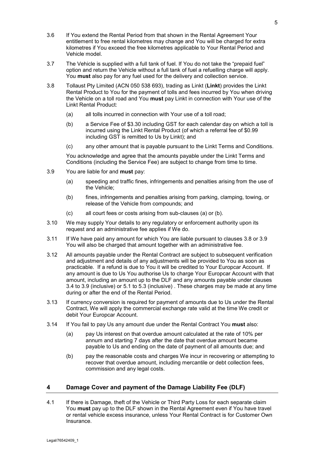- 3.6 If You extend the Rental Period from that shown in the Rental Agreement Your entitlement to free rental kilometres may change and You will be charged for extra kilometres if You exceed the free kilometres applicable to Your Rental Period and Vehicle model.
- 3.7 The Vehicle is supplied with a full tank of fuel. If You do not take the "prepaid fuel" option and return the Vehicle without a full tank of fuel a refuelling charge will apply. You **must** also pay for any fuel used for the delivery and collection service.
- <span id="page-4-1"></span>3.8 Tollaust Pty Limited (ACN 050 538 693), trading as Linkt (**Linkt**) provides the Linkt Rental Product to You for the payment of tolls and fees incurred by You when driving the Vehicle on a toll road and You **must** pay Linkt in connection with Your use of the Linkt Rental Product:
	- (a) all tolls incurred in connection with Your use of a toll road;
	- (b) a Service Fee of \$3.30 including GST for each calendar day on which a toll is incurred using the Linkt Rental Product (of which a referral fee of \$0.99 including GST is remitted to Us by Linkt); and
	- (c) any other amount that is payable pursuant to the Linkt Terms and Conditions.

You acknowledge and agree that the amounts payable under the Linkt Terms and Conditions (including the Service Fee) are subject to change from time to time.

- <span id="page-4-4"></span><span id="page-4-2"></span>3.9 You are liable for and **must** pay:
	- (a) speeding and traffic fines, infringements and penalties arising from the use of the Vehicle;
	- (b) fines, infringements and penalties arising from parking, clamping, towing, or release of the Vehicle from compounds; and
	- (c) all court fees or costs arising from sub-clauses [\(a\)](#page-4-4) or [\(b\).](#page-4-5)
- <span id="page-4-5"></span>3.10 We may supply Your details to any regulatory or enforcement authority upon its request and an administrative fee applies if We do.
- 3.11 If We have paid any amount for which You are liable pursuant to clauses [3.8](#page-4-1) or [3.9](#page-4-2) You will also be charged that amount together with an administrative fee.
- 3.12 All amounts payable under the Rental Contract are subject to subsequent verification and adjustment and details of any adjustments will be provided to You as soon as practicable. If a refund is due to You it will be credited to Your Europcar Account. If any amount is due to Us You authorise Us to charge Your Europcar Account with that amount, including an amount up to the DLF and any amounts payable under clauses [3.4](#page-3-1) to [3.9](#page-4-2) (inclusive) or [5.1](#page-6-2) to [5.3](#page-6-5) (inclusive) . These charges may be made at any time during or after the end of the Rental Period.
- 3.13 If currency conversion is required for payment of amounts due to Us under the Rental Contract, We will apply the commercial exchange rate valid at the time We credit or debit Your Europcar Account.
- 3.14 If You fail to pay Us any amount due under the Rental Contract You **must** also:
	- (a) pay Us interest on that overdue amount calculated at the rate of 10% per annum and starting 7 days after the date that overdue amount became payable to Us and ending on the date of payment of all amounts due; and
	- (b) pay the reasonable costs and charges We incur in recovering or attempting to recover that overdue amount, including mercantile or debt collection fees, commission and any legal costs.

#### <span id="page-4-0"></span>**4 Damage Cover and payment of the Damage Liability Fee (DLF)**

<span id="page-4-3"></span>4.1 If there is Damage, theft of the Vehicle or Third Party Loss for each separate claim You **must** pay up to the DLF shown in the Rental Agreement even if You have travel or rental vehicle excess insurance, unless Your Rental Contract is for Customer Own Insurance.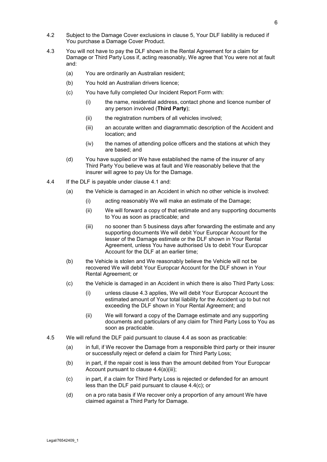- 4.2 Subject to the Damage Cover exclusions in clause 5, Your DLF liability is reduced if You purchase a Damage Cover Product.
- <span id="page-5-0"></span>4.3 You will not have to pay the DLF shown in the Rental Agreement for a claim for Damage or Third Party Loss if, acting reasonably, We agree that You were not at fault and:
	- (a) You are ordinarily an Australian resident;
	- (b) You hold an Australian drivers licence;
	- (c) You have fully completed Our Incident Report Form with:
		- (i) the name, residential address, contact phone and licence number of any person involved (**Third Party**);
		- (ii) the registration numbers of all vehicles involved;
		- (iii) an accurate written and diagrammatic description of the Accident and location; and
		- (iv) the names of attending police officers and the stations at which they are based; and
	- (d) You have supplied or We have established the name of the insurer of any Third Party You believe was at fault and We reasonably believe that the insurer will agree to pay Us for the Damage.
- <span id="page-5-2"></span><span id="page-5-1"></span>4.4 If the DLF is payable under clause [4.1](#page-4-3) and:
	- (a) the Vehicle is damaged in an Accident in which no other vehicle is involved:
		- (i) acting reasonably We will make an estimate of the Damage;
		- (ii) We will forward a copy of that estimate and any supporting documents to You as soon as practicable; and
		- (iii) no sooner than 5 business days after forwarding the estimate and any supporting documents We will debit Your Europcar Account for the lesser of the Damage estimate or the DLF shown in Your Rental Agreement, unless You have authorised Us to debit Your Europcar Account for the DLF at an earlier time;
	- (b) the Vehicle is stolen and We reasonably believe the Vehicle will not be recovered We will debit Your Europcar Account for the DLF shown in Your Rental Agreement; or
	- (c) the Vehicle is damaged in an Accident in which there is also Third Party Loss:
		- (i) unless clause [4.3](#page-5-0) applies, We will debit Your Europcar Account the estimated amount of Your total liability for the Accident up to but not exceeding the DLF shown in Your Rental Agreement; and
		- (ii) We will forward a copy of the Damage estimate and any supporting documents and particulars of any claim for Third Party Loss to You as soon as practicable.
- <span id="page-5-3"></span>4.5 We will refund the DLF paid pursuant to clause [4.4](#page-5-1) as soon as practicable:
	- (a) in full, if We recover the Damage from a responsible third party or their insurer or successfully reject or defend a claim for Third Party Loss;
	- (b) in part, if the repair cost is less than the amount debited from Your Europcar Account pursuant to clause [4.4\(a\)\(iii\);](#page-5-2)
	- (c) in part, if a claim for Third Party Loss is rejected or defended for an amount less than the DLF paid pursuant to clause [4.4\(c\);](#page-5-3) or
	- (d) on a pro rata basis if We recover only a proportion of any amount We have claimed against a Third Party for Damage.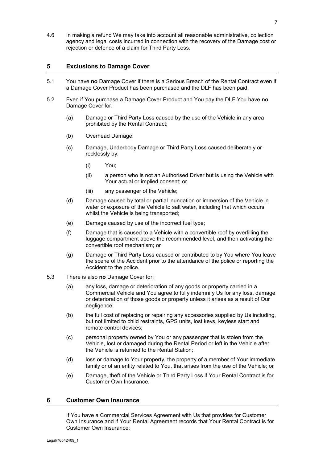4.6 In making a refund We may take into account all reasonable administrative, collection agency and legal costs incurred in connection with the recovery of the Damage cost or rejection or defence of a claim for Third Party Loss.

#### <span id="page-6-0"></span>**5 Exclusions to Damage Cover**

- <span id="page-6-2"></span>5.1 You have **no** Damage Cover if there is a Serious Breach of the Rental Contract even if a Damage Cover Product has been purchased and the DLF has been paid.
- <span id="page-6-3"></span>5.2 Even if You purchase a Damage Cover Product and You pay the DLF You have **no** Damage Cover for:
	- (a) Damage or Third Party Loss caused by the use of the Vehicle in any area prohibited by the Rental Contract;
	- (b) Overhead Damage;
	- (c) Damage, Underbody Damage or Third Party Loss caused deliberately or recklessly by:
		- (i) You;
		- (ii) a person who is not an Authorised Driver but is using the Vehicle with Your actual or implied consent; or
		- (iii) any passenger of the Vehicle;
	- (d) Damage caused by total or partial inundation or immersion of the Vehicle in water or exposure of the Vehicle to salt water, including that which occurs whilst the Vehicle is being transported;
	- (e) Damage caused by use of the incorrect fuel type;
	- (f) Damage that is caused to a Vehicle with a convertible roof by overfilling the luggage compartment above the recommended level, and then activating the convertible roof mechanism; or
	- (g) Damage or Third Party Loss caused or contributed to by You where You leave the scene of the Accident prior to the attendance of the police or reporting the Accident to the police.
- <span id="page-6-5"></span><span id="page-6-4"></span>5.3 There is also **no** Damage Cover for:
	- (a) any loss, damage or deterioration of any goods or property carried in a Commercial Vehicle and You agree to fully indemnify Us for any loss, damage or deterioration of those goods or property unless it arises as a result of Our negligence;
	- (b) the full cost of replacing or repairing any accessories supplied by Us including, but not limited to child restraints, GPS units, lost keys, keyless start and remote control devices;
	- (c) personal property owned by You or any passenger that is stolen from the Vehicle, lost or damaged during the Rental Period or left in the Vehicle after the Vehicle is returned to the Rental Station;
	- (d) loss or damage to Your property, the property of a member of Your immediate family or of an entity related to You, that arises from the use of the Vehicle; or
	- (e) Damage, theft of the Vehicle or Third Party Loss if Your Rental Contract is for Customer Own Insurance.

#### <span id="page-6-1"></span>**6 Customer Own Insurance**

If You have a Commercial Services Agreement with Us that provides for Customer Own Insurance and if Your Rental Agreement records that Your Rental Contract is for Customer Own Insurance: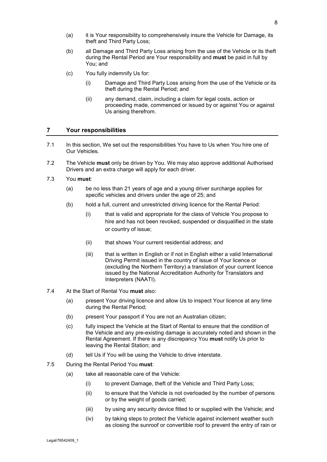8

- (a) it is Your responsibility to comprehensively insure the Vehicle for Damage, its theft and Third Party Loss;
- (b) all Damage and Third Party Loss arising from the use of the Vehicle or its theft during the Rental Period are Your responsibility and **must** be paid in full by You; and
- (c) You fully indemnify Us for:
	- (i) Damage and Third Party Loss arising from the use of the Vehicle or its theft during the Rental Period; and
	- (ii) any demand, claim, including a claim for legal costs, action or proceeding made, commenced or issued by or against You or against Us arising therefrom.

#### <span id="page-7-0"></span>**7 Your responsibilities**

- 7.1 In this section, We set out the responsibilities You have to Us when You hire one of Our Vehicles.
- <span id="page-7-1"></span>7.2 The Vehicle **must** only be driven by You. We may also approve additional Authorised Drivers and an extra charge will apply for each driver.
- <span id="page-7-2"></span>7.3 You **must**:
	- (a) be no less than 21 years of age and a young driver surcharge applies for specific vehicles and drivers under the age of 25; and
	- (b) hold a full, current and unrestricted driving licence for the Rental Period:
		- (i) that is valid and appropriate for the class of Vehicle You propose to hire and has not been revoked, suspended or disqualified in the state or country of issue;
		- (ii) that shows Your current residential address; and
		- (iii) that is written in English or if not in English either a valid International Driving Permit issued in the country of issue of Your licence or (excluding the Northern Territory) a translation of your current licence issued by the National Accreditation Authority for Translators and Interpreters (NAATI).
- 7.4 At the Start of Rental You **must** also:
	- (a) present Your driving licence and allow Us to inspect Your licence at any time during the Rental Period;
	- (b) present Your passport if You are not an Australian citizen;
	- (c) fully inspect the Vehicle at the Start of Rental to ensure that the condition of the Vehicle and any pre-existing damage is accurately noted and shown in the Rental Agreement. If there is any discrepancy You **must** notify Us prior to leaving the Rental Station; and
	- (d) tell Us if You will be using the Vehicle to drive interstate.
- <span id="page-7-3"></span>7.5 During the Rental Period You **must**:
	- (a) take all reasonable care of the Vehicle:
		- (i) to prevent Damage, theft of the Vehicle and Third Party Loss;
		- (ii) to ensure that the Vehicle is not overloaded by the number of persons or by the weight of goods carried;
		- (iii) by using any security device fitted to or supplied with the Vehicle; and
		- (iv) by taking steps to protect the Vehicle against inclement weather such as closing the sunroof or convertible roof to prevent the entry of rain or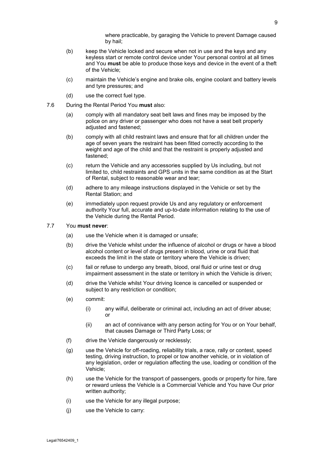where practicable, by garaging the Vehicle to prevent Damage caused by hail;

- (b) keep the Vehicle locked and secure when not in use and the keys and any keyless start or remote control device under Your personal control at all times and You **must** be able to produce those keys and device in the event of a theft of the Vehicle;
- (c) maintain the Vehicle's engine and brake oils, engine coolant and battery levels and tyre pressures; and
- (d) use the correct fuel type.
- 7.6 During the Rental Period You **must** also:
	- (a) comply with all mandatory seat belt laws and fines may be imposed by the police on any driver or passenger who does not have a seat belt properly adjusted and fastened;
	- (b) comply with all child restraint laws and ensure that for all children under the age of seven years the restraint has been fitted correctly according to the weight and age of the child and that the restraint is properly adjusted and fastened;
	- (c) return the Vehicle and any accessories supplied by Us including, but not limited to, child restraints and GPS units in the same condition as at the Start of Rental, subject to reasonable wear and tear;
	- (d) adhere to any mileage instructions displayed in the Vehicle or set by the Rental Station; and
	- (e) immediately upon request provide Us and any regulatory or enforcement authority Your full, accurate and up-to-date information relating to the use of the Vehicle during the Rental Period.

#### <span id="page-8-0"></span>7.7 You **must never**:

- (a) use the Vehicle when it is damaged or unsafe;
- (b) drive the Vehicle whilst under the influence of alcohol or drugs or have a blood alcohol content or level of drugs present in blood, urine or oral fluid that exceeds the limit in the state or territory where the Vehicle is driven;
- (c) fail or refuse to undergo any breath, blood, oral fluid or urine test or drug impairment assessment in the state or territory in which the Vehicle is driven;
- (d) drive the Vehicle whilst Your driving licence is cancelled or suspended or subject to any restriction or condition;
- (e) commit:
	- (i) any wilful, deliberate or criminal act, including an act of driver abuse; or
	- (ii) an act of connivance with any person acting for You or on Your behalf, that causes Damage or Third Party Loss; or
- (f) drive the Vehicle dangerously or recklessly;
- (g) use the Vehicle for off-roading, reliability trials, a race, rally or contest, speed testing, driving instruction, to propel or tow another vehicle, or in violation of any legislation, order or regulation affecting the use, loading or condition of the Vehicle;
- (h) use the Vehicle for the transport of passengers, goods or property for hire, fare or reward unless the Vehicle is a Commercial Vehicle and You have Our prior written authority;
- (i) use the Vehicle for any illegal purpose;
- (j) use the Vehicle to carry: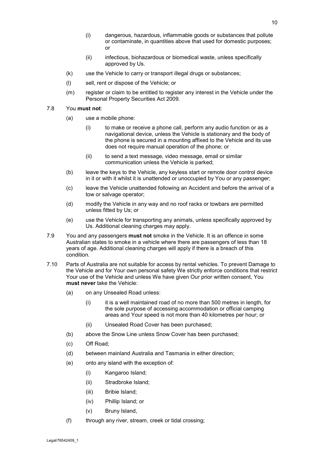- (i) dangerous, hazardous, inflammable goods or substances that pollute or contaminate, in quantities above that used for domestic purposes; or
- (ii) infectious, biohazardous or biomedical waste, unless specifically approved by Us.
- (k) use the Vehicle to carry or transport illegal drugs or substances;
- (l) sell, rent or dispose of the Vehicle; or
- (m) register or claim to be entitled to register any interest in the Vehicle under the Personal Property Securities Act 2009.

#### 7.8 You **must not**:

- (a) use a mobile phone:
	- (i) to make or receive a phone call, perform any audio function or as a navigational device, unless the Vehicle is stationary and the body of the phone is secured in a mounting affixed to the Vehicle and its use does not require manual operation of the phone; or
	- (ii) to send a text message, video message, email or similar communication unless the Vehicle is parked;
- (b) leave the keys to the Vehicle, any keyless start or remote door control device in it or with it whilst it is unattended or unoccupied by You or any passenger;
- (c) leave the Vehicle unattended following an Accident and before the arrival of a tow or salvage operator;
- (d) modify the Vehicle in any way and no roof racks or towbars are permitted unless fitted by Us; or
- (e) use the Vehicle for transporting any animals, unless specifically approved by Us. Additional cleaning charges may apply.
- 7.9 You and any passengers **must not** smoke in the Vehicle. It is an offence in some Australian states to smoke in a vehicle where there are passengers of less than 18 years of age. Additional cleaning charges will apply if there is a breach of this condition.
- <span id="page-9-0"></span>7.10 Parts of Australia are not suitable for access by rental vehicles. To prevent Damage to the Vehicle and for Your own personal safety We strictly enforce conditions that restrict Your use of the Vehicle and unless We have given Our prior written consent, You **must never** take the Vehicle:
	- (a) on any Unsealed Road unless:
		- (i) it is a well maintained road of no more than 500 metres in length, for the sole purpose of accessing accommodation or official camping areas and Your speed is not more than 40 kilometres per hour; or
		- (ii) Unsealed Road Cover has been purchased;
	- (b) above the Snow Line unless Snow Cover has been purchased;
	- (c) Off Road;
	- (d) between mainland Australia and Tasmania in either direction;
	- (e) onto any island with the exception of:
		- (i) Kangaroo Island;
		- (ii) Stradbroke Island;
		- (iii) Bribie Island;
		- (iv) Phillip Island; or
		- (v) Bruny Island,
	- (f) through any river, stream, creek or tidal crossing;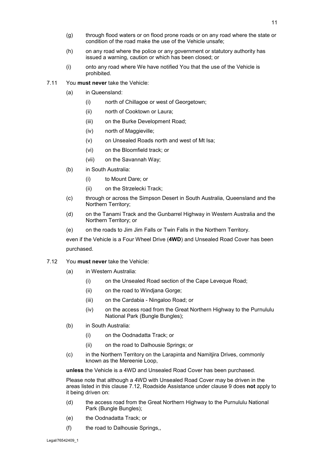- (g) through flood waters or on flood prone roads or on any road where the state or condition of the road make the use of the Vehicle unsafe;
- (h) on any road where the police or any government or statutory authority has issued a warning, caution or which has been closed; or
- (i) onto any road where We have notified You that the use of the Vehicle is prohibited.
- <span id="page-10-1"></span>7.11 You **must never** take the Vehicle:
	- (a) in Queensland:
		- (i) north of Chillagoe or west of Georgetown;
		- (ii) north of Cooktown or Laura;
		- (iii) on the Burke Development Road;
		- (iv) north of Maggieville;
		- (v) on Unsealed Roads north and west of Mt Isa;
		- (vi) on the Bloomfield track; or
		- (vii) on the Savannah Way;
	- (b) in South Australia:
		- (i) to Mount Dare; or
		- (ii) on the Strzelecki Track;
	- (c) through or across the Simpson Desert in South Australia, Queensland and the Northern Territory;
	- (d) on the Tanami Track and the Gunbarrel Highway in Western Australia and the Northern Territory; or
	- (e) on the roads to Jim Jim Falls or Twin Falls in the Northern Territory.

even if the Vehicle is a Four Wheel Drive (**4WD**) and Unsealed Road Cover has been purchased.

- <span id="page-10-0"></span>7.12 You **must never** take the Vehicle:
	- (a) in Western Australia:
		- (i) on the Unsealed Road section of the Cape Leveque Road;
		- (ii) on the road to Windjana Gorge;
		- (iii) on the Cardabia Ningaloo Road; or
		- (iv) on the access road from the Great Northern Highway to the Purnululu National Park (Bungle Bungles);
	- (b) in South Australia:
		- (i) on the Oodnadatta Track; or
		- (ii) on the road to Dalhousie Springs; or
	- (c) in the Northern Territory on the Larapinta and Namitjira Drives, commonly known as the Mereenie Loop,

**unless** the Vehicle is a 4WD and Unsealed Road Cover has been purchased.

Please note that although a 4WD with Unsealed Road Cover may be driven in the areas listed in this clause [7.12,](#page-10-0) Roadside Assistance under clause [9](#page-11-1) does **not** apply to it being driven on:

- (d) the access road from the Great Northern Highway to the Purnululu National Park (Bungle Bungles);
- (e) the Oodnadatta Track; or
- (f) the road to Dalhousie Springs,,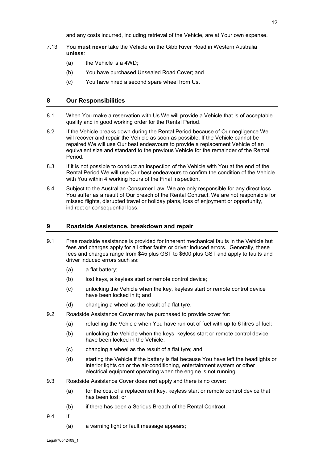and any costs incurred, including retrieval of the Vehicle, are at Your own expense.

- <span id="page-11-3"></span>7.13 You **must never** take the Vehicle on the Gibb River Road in Western Australia **unless**:
	- (a) the Vehicle is a 4WD;
	- (b) You have purchased Unsealed Road Cover; and
	- (c) You have hired a second spare wheel from Us.

#### <span id="page-11-0"></span>**8 Our Responsibilities**

- 8.1 When You make a reservation with Us We will provide a Vehicle that is of acceptable quality and in good working order for the Rental Period.
- 8.2 If the Vehicle breaks down during the Rental Period because of Our negligence We will recover and repair the Vehicle as soon as possible. If the Vehicle cannot be repaired We will use Our best endeavours to provide a replacement Vehicle of an equivalent size and standard to the previous Vehicle for the remainder of the Rental Period.
- <span id="page-11-2"></span>8.3 If it is not possible to conduct an inspection of the Vehicle with You at the end of the Rental Period We will use Our best endeavours to confirm the condition of the Vehicle with You within 4 working hours of the Final Inspection.
- 8.4 Subject to the Australian Consumer Law, We are only responsible for any direct loss You suffer as a result of Our breach of the Rental Contract. We are not responsible for missed flights, disrupted travel or holiday plans, loss of enjoyment or opportunity, indirect or consequential loss.

#### <span id="page-11-1"></span>**9 Roadside Assistance, breakdown and repair**

- 9.1 Free roadside assistance is provided for inherent mechanical faults in the Vehicle but fees and charges apply for all other faults or driver induced errors. Generally, these fees and charges range from \$45 plus GST to \$600 plus GST and apply to faults and driver induced errors such as:
	- (a) a flat battery;
	- (b) lost keys, a keyless start or remote control device;
	- (c) unlocking the Vehicle when the key, keyless start or remote control device have been locked in it; and
	- (d) changing a wheel as the result of a flat tyre.
- 9.2 Roadside Assistance Cover may be purchased to provide cover for:
	- (a) refuelling the Vehicle when You have run out of fuel with up to 6 litres of fuel;
	- (b) unlocking the Vehicle when the keys, keyless start or remote control device have been locked in the Vehicle;
	- (c) changing a wheel as the result of a flat tyre; and
	- (d) starting the Vehicle if the battery is flat because You have left the headlights or interior lights on or the air-conditioning, entertainment system or other electrical equipment operating when the engine is not running.
- 9.3 Roadside Assistance Cover does **not** apply and there is no cover:
	- (a) for the cost of a replacement key, keyless start or remote control device that has been lost; or
	- (b) if there has been a Serious Breach of the Rental Contract.
- <span id="page-11-4"></span>9.4 If:
	- (a) a warning light or fault message appears;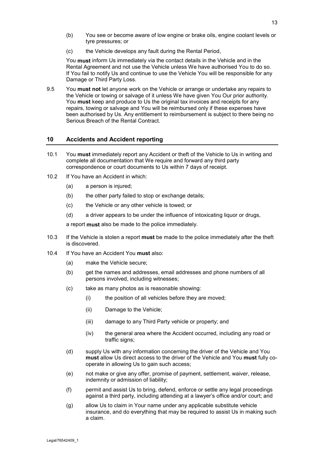- (b) You see or become aware of low engine or brake oils, engine coolant levels or tyre pressures; or
- (c) the Vehicle develops any fault during the Rental Period,

You **must** inform Us immediately via the contact details in the Vehicle and in the Rental Agreement and not use the Vehicle unless We have authorised You to do so. If You fail to notify Us and continue to use the Vehicle You will be responsible for any Damage or Third Party Loss.

9.5 You **must not** let anyone work on the Vehicle or arrange or undertake any repairs to the Vehicle or towing or salvage of it unless We have given You Our prior authority. You **must** keep and produce to Us the original tax invoices and receipts for any repairs, towing or salvage and You will be reimbursed only if these expenses have been authorised by Us. Any entitlement to reimbursement is subject to there being no Serious Breach of the Rental Contract.

#### <span id="page-12-0"></span>**10 Accidents and Accident reporting**

- 10.1 You **must** immediately report any Accident or theft of the Vehicle to Us in writing and complete all documentation that We require and forward any third party correspondence or court documents to Us within 7 days of receipt.
- 10.2 If You have an Accident in which:
	- (a) a person is injured;
	- (b) the other party failed to stop or exchange details;
	- (c) the Vehicle or any other vehicle is towed; or
	- (d) a driver appears to be under the influence of intoxicating liquor or drugs,

a report **must** also be made to the police immediately.

- 10.3 If the Vehicle is stolen a report **must** be made to the police immediately after the theft is discovered.
- 10.4 If You have an Accident You **must** also:
	- (a) make the Vehicle secure;
	- (b) get the names and addresses, email addresses and phone numbers of all persons involved, including witnesses;
	- (c) take as many photos as is reasonable showing:
		- (i) the position of all vehicles before they are moved;
		- (ii) Damage to the Vehicle;
		- (iii) damage to any Third Party vehicle or property; and
		- (iv) the general area where the Accident occurred, including any road or traffic signs;
	- (d) supply Us with any information concerning the driver of the Vehicle and You **must** allow Us direct access to the driver of the Vehicle and You **must** fully cooperate in allowing Us to gain such access;
	- (e) not make or give any offer, promise of payment, settlement, waiver, release, indemnity or admission of liability;
	- (f) permit and assist Us to bring, defend, enforce or settle any legal proceedings against a third party, including attending at a lawyer's office and/or court; and
	- (g) allow Us to claim in Your name under any applicable substitute vehicle insurance, and do everything that may be required to assist Us in making such a claim.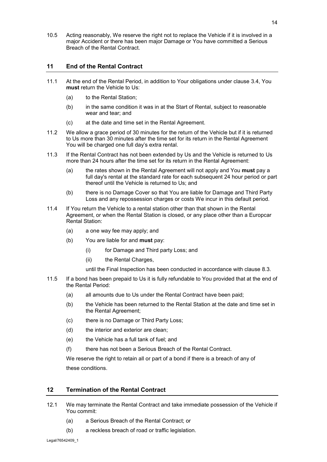10.5 Acting reasonably, We reserve the right not to replace the Vehicle if it is involved in a major Accident or there has been major Damage or You have committed a Serious Breach of the Rental Contract.

#### <span id="page-13-0"></span>**11 End of the Rental Contract**

- 11.1 At the end of the Rental Period, in addition to Your obligations under clause [3.4,](#page-3-1) You **must** return the Vehicle to Us:
	- (a) to the Rental Station;
	- (b) in the same condition it was in at the Start of Rental, subject to reasonable wear and tear; and
	- (c) at the date and time set in the Rental Agreement.
- 11.2 We allow a grace period of 30 minutes for the return of the Vehicle but if it is returned to Us more than 30 minutes after the time set for its return in the Rental Agreement You will be charged one full day's extra rental.
- 11.3 If the Rental Contract has not been extended by Us and the Vehicle is returned to Us more than 24 hours after the time set for its return in the Rental Agreement:
	- (a) the rates shown in the Rental Agreement will not apply and You **must** pay a full day's rental at the standard rate for each subsequent 24 hour period or part thereof until the Vehicle is returned to Us; and
	- (b) there is no Damage Cover so that You are liable for Damage and Third Party Loss and any repossession charges or costs We incur in this default period.
- 11.4 If You return the Vehicle to a rental station other than that shown in the Rental Agreement, or when the Rental Station is closed, or any place other than a Europcar Rental Station:
	- (a) a one way fee may apply; and
	- (b) You are liable for and **must** pay:
		- (i) for Damage and Third party Loss; and
		- (ii) the Rental Charges,
		- until the Final Inspection has been conducted in accordance with clause [8.3.](#page-11-2)
- 11.5 If a bond has been prepaid to Us it is fully refundable to You provided that at the end of the Rental Period:
	- (a) all amounts due to Us under the Rental Contract have been paid;
	- (b) the Vehicle has been returned to the Rental Station at the date and time set in the Rental Agreement;
	- (c) there is no Damage or Third Party Loss;
	- (d) the interior and exterior are clean;
	- (e) the Vehicle has a full tank of fuel; and
	- (f) there has not been a Serious Breach of the Rental Contract.

We reserve the right to retain all or part of a bond if there is a breach of any of these conditions.

#### <span id="page-13-1"></span>**12 Termination of the Rental Contract**

- <span id="page-13-2"></span>12.1 We may terminate the Rental Contract and take immediate possession of the Vehicle if You commit:
	- (a) a Serious Breach of the Rental Contract; or
	- (b) a reckless breach of road or traffic legislation.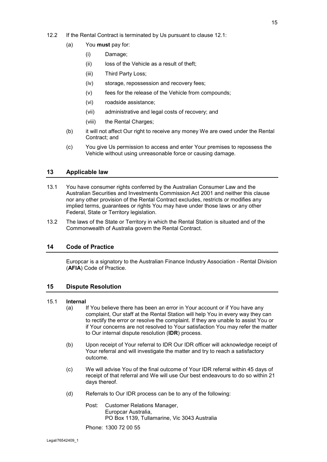- (a) You **must** pay for:
	- (i) Damage;
	- (ii) loss of the Vehicle as a result of theft:
	- (iii) Third Party Loss;
	- (iv) storage, repossession and recovery fees;
	- (v) fees for the release of the Vehicle from compounds;
	- (vi) roadside assistance;
	- (vii) administrative and legal costs of recovery; and
	- (viii) the Rental Charges;
- (b) it will not affect Our right to receive any money We are owed under the Rental Contract; and
- (c) You give Us permission to access and enter Your premises to repossess the Vehicle without using unreasonable force or causing damage.

#### <span id="page-14-0"></span>**13 Applicable law**

- 13.1 You have consumer rights conferred by the Australian Consumer Law and the Australian Securities and Investments Commission Act 2001 and neither this clause nor any other provision of the Rental Contract excludes, restricts or modifies any implied terms, guarantees or rights You may have under those laws or any other Federal, State or Territory legislation.
- 13.2 The laws of the State or Territory in which the Rental Station is situated and of the Commonwealth of Australia govern the Rental Contract.

#### <span id="page-14-1"></span>**14 Code of Practice**

Europcar is a signatory to the Australian Finance Industry Association - Rental Division (**AFIA**) Code of Practice.

#### <span id="page-14-2"></span>**15 Dispute Resolution**

#### 15.1 **Internal**

- (a) If You believe there has been an error in Your account or if You have any complaint, Our staff at the Rental Station will help You in every way they can to rectify the error or resolve the complaint. If they are unable to assist You or if Your concerns are not resolved to Your satisfaction You may refer the matter to Our internal dispute resolution (**IDR**) process.
- (b) Upon receipt of Your referral to IDR Our IDR officer will acknowledge receipt of Your referral and will investigate the matter and try to reach a satisfactory outcome.
- (c) We will advise You of the final outcome of Your IDR referral within 45 days of receipt of that referral and We will use Our best endeavours to do so within 21 days thereof.
- (d) Referrals to Our IDR process can be to any of the following:
	- Post: Customer Relations Manager, Europcar Australia, PO Box 1139, Tullamarine, Vic 3043 Australia

Phone: 1300 72 00 55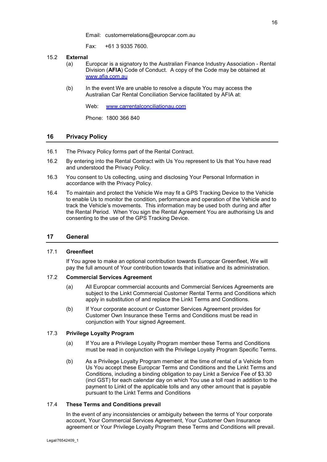Email: customerrelations@europcar.com.au

Fax: +61 3 9335 7600.

- 15.2 **External**
	- (a) Europcar is a signatory to the Australian Finance Industry Association Rental Division (**AFIA**) Code of Conduct. A copy of the Code may be obtained at [www.afia.com.au](http://www.afia.com.au/)
	- (b) In the event We are unable to resolve a dispute You may access the Australian Car Rental Conciliation Service facilitated by AFIA at:

Web: [www.carrentalconciliationau.com](http://www.carrentalconciliationau.com/)

Phone: 1800 366 840

#### <span id="page-15-0"></span>**16 Privacy Policy**

- 16.1 The Privacy Policy forms part of the Rental Contract.
- 16.2 By entering into the Rental Contract with Us You represent to Us that You have read and understood the Privacy Policy.
- 16.3 You consent to Us collecting, using and disclosing Your Personal Information in accordance with the Privacy Policy.
- 16.4 To maintain and protect the Vehicle We may fit a GPS Tracking Device to the Vehicle to enable Us to monitor the condition, performance and operation of the Vehicle and to track the Vehicle's movements. This information may be used both during and after the Rental Period. When You sign the Rental Agreement You are authorising Us and consenting to the use of the GPS Tracking Device.

#### <span id="page-15-1"></span>**17 General**

#### 17.1 **Greenfleet**

If You agree to make an optional contribution towards Europcar Greenfleet, We will pay the full amount of Your contribution towards that initiative and its administration.

#### 17.2 **Commercial Services Agreement**

- (a) All Europcar commercial accounts and Commercial Services Agreements are subject to the Linkt Commercial Customer Rental Terms and Conditions which apply in substitution of and replace the Linkt Terms and Conditions.
- (b) If Your corporate account or Customer Services Agreement provides for Customer Own Insurance these Terms and Conditions must be read in conjunction with Your signed Agreement.

#### 17.3 **Privilege Loyalty Program**

- (a) If You are a Privilege Loyalty Program member these Terms and Conditions must be read in conjunction with the Privilege Loyalty Program Specific Terms.
- (b) As a Privilege Loyalty Program member at the time of rental of a Vehicle from Us You accept these Europcar Terms and Conditions and the Linkt Terms and Conditions, including a binding obligation to pay Linkt a Service Fee of \$3.30 (incl GST) for each calendar day on which You use a toll road in addition to the payment to Linkt of the applicable tolls and any other amount that is payable pursuant to the Linkt Terms and Conditions

#### 17.4 **These Terms and Conditions prevail**

In the event of any inconsistencies or ambiguity between the terms of Your corporate account, Your Commercial Services Agreement, Your Customer Own Insurance agreement or Your Privilege Loyalty Program these Terms and Conditions will prevail.

Legal/76542409\_1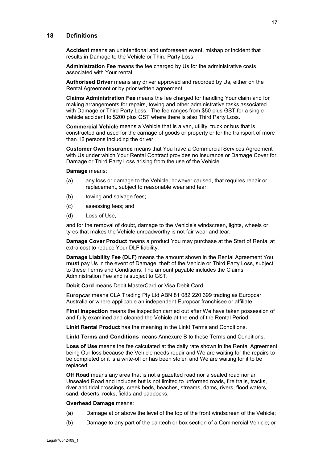#### <span id="page-16-0"></span>**18 Definitions**

**Accident** means an unintentional and unforeseen event, mishap or incident that results in Damage to the Vehicle or Third Party Loss.

**Administration Fee** means the fee charged by Us for the administrative costs associated with Your rental.

**Authorised Driver** means any driver approved and recorded by Us, either on the Rental Agreement or by prior written agreement.

**Claims Administration Fee** means the fee charged for handling Your claim and for making arrangements for repairs, towing and other administrative tasks associated with Damage or Third Party Loss. The fee ranges from \$50 plus GST for a single vehicle accident to \$200 plus GST where there is also Third Party Loss.

**Commercial Vehicle** means a Vehicle that is a van, utility, truck or bus that is constructed and used for the carriage of goods or property or for the transport of more than 12 persons including the driver.

**Customer Own Insurance** means that You have a Commercial Services Agreement with Us under which Your Rental Contract provides no insurance or Damage Cover for Damage or Third Party Loss arising from the use of the Vehicle.

**Damage** means:

- (a) any loss or damage to the Vehicle, however caused, that requires repair or replacement, subject to reasonable wear and tear;
- (b) towing and salvage fees;
- (c) assessing fees; and
- (d) Loss of Use,

and for the removal of doubt, damage to the Vehicle's windscreen, lights, wheels or tyres that makes the Vehicle unroadworthy is not fair wear and tear.

**Damage Cover Product** means a product You may purchase at the Start of Rental at extra cost to reduce Your DLF liability.

**Damage Liability Fee (DLF)** means the amount shown in the Rental Agreement You **must** pay Us in the event of Damage, theft of the Vehicle or Third Party Loss, subject to these Terms and Conditions. The amount payable includes the Claims Administration Fee and is subject to GST.

**Debit Card** means Debit MasterCard or Visa Debit Card.

**Europcar** means CLA Trading Pty Ltd ABN 81 082 220 399 trading as Europcar Australia or where applicable an independent Europcar franchisee or affiliate.

**Final Inspection** means the inspection carried out after We have taken possession of and fully examined and cleaned the Vehicle at the end of the Rental Period.

**Linkt Rental Product** has the meaning in the Linkt Terms and Conditions.

**Linkt Terms and Conditions** means Annexure B to these Terms and Conditions.

**Loss of Use** means the fee calculated at the daily rate shown in the Rental Agreement being Our loss because the Vehicle needs repair and We are waiting for the repairs to be completed or it is a write-off or has been stolen and We are waiting for it to be replaced.

**Off Road** means any area that is not a gazetted road nor a sealed road nor an Unsealed Road and includes but is not limited to unformed roads, fire trails, tracks, river and tidal crossings, creek beds, beaches, streams, dams, rivers, flood waters, sand, deserts, rocks, fields and paddocks.

#### **Overhead Damage** means:

- (a) Damage at or above the level of the top of the front windscreen of the Vehicle;
- (b) Damage to any part of the pantech or box section of a Commercial Vehicle; or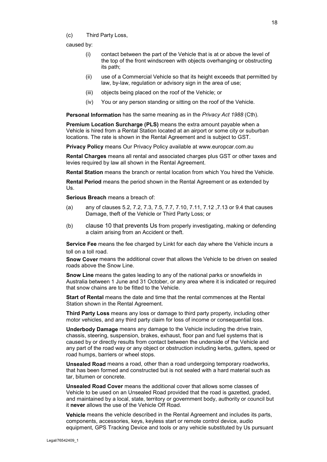caused by:

- (i) contact between the part of the Vehicle that is at or above the level of the top of the front windscreen with objects overhanging or obstructing its path;
- (ii) use of a Commercial Vehicle so that its height exceeds that permitted by law, by-law, regulation or advisory sign in the area of use;
- (iii) objects being placed on the roof of the Vehicle; or
- (iv) You or any person standing or sitting on the roof of the Vehicle.

**Personal Information** has the same meaning as in the *Privacy Act 1988* (Cth).

**Premium Location Surcharge (PLS)** means the extra amount payable when a Vehicle is hired from a Rental Station located at an airport or some city or suburban locations. The rate is shown in the Rental Agreement and is subject to GST.

**Privacy Policy** means Our Privacy Policy available at [www.europcar.com.au](http://www.europcar.com.au/)

**Rental Charges** means all rental and associated charges plus GST or other taxes and levies required by law all shown in the Rental Agreement.

**Rental Station** means the branch or rental location from which You hired the Vehicle.

**Rental Period** means the period shown in the Rental Agreement or as extended by Us.

**Serious Breach** means a breach of:

- (a) any of clauses [5.2,](#page-6-3) [7.2,](#page-7-1) [7.3,](#page-7-2) [7.5,](#page-7-3) [7.7,](#page-8-0) [7.10,](#page-9-0) [7.11,](#page-10-1) [7.12](#page-10-0) [,7.13](#page-11-3) or [9.4](#page-11-4) that causes Damage, theft of the Vehicle or Third Party Loss; or
- (b) clause [10](#page-12-0) that prevents Us from properly investigating, making or defending a claim arising from an Accident or theft.

**Service Fee** means the fee charged by Linkt for each day where the Vehicle incurs a toll on a toll road.

**Snow Cover** means the additional cover that allows the Vehicle to be driven on sealed roads above the Snow Line.

**Snow Line** means the gates leading to any of the national parks or snowfields in Australia between 1 June and 31 October, or any area where it is indicated or required that snow chains are to be fitted to the Vehicle.

**Start of Rental** means the date and time that the rental commences at the Rental Station shown in the Rental Agreement.

**Third Party Loss** means any loss or damage to third party property, including other motor vehicles, and any third party claim for loss of income or consequential loss.

**Underbody Damage** means any damage to the Vehicle including the drive train, chassis, steering, suspension, brakes, exhaust, floor pan and fuel systems that is caused by or directly results from contact between the underside of the Vehicle and any part of the road way or any object or obstruction including kerbs, gutters, speed or road humps, barriers or wheel stops.

**Unsealed Road** means a road, other than a road undergoing temporary roadworks, that has been formed and constructed but is not sealed with a hard material such as tar, bitumen or concrete.

**Unsealed Road Cover** means the additional cover that allows some classes of Vehicle to be used on an Unsealed Road provided that the road is gazetted, graded, and maintained by a local, state, territory or government body, authority or council but it **never** allows the use of the Vehicle Off Road.

**Vehicle** means the vehicle described in the Rental Agreement and includes its parts, components, accessories, keys, keyless start or remote control device, audio equipment, GPS Tracking Device and tools or any vehicle substituted by Us pursuant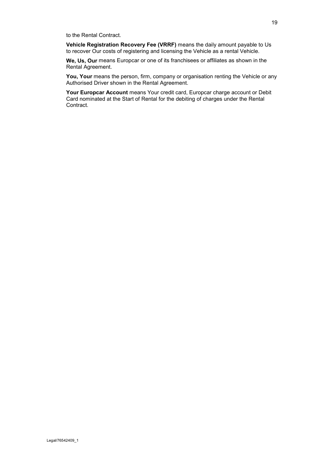to the Rental Contract.

**Vehicle Registration Recovery Fee (VRRF)** means the daily amount payable to Us to recover Our costs of registering and licensing the Vehicle as a rental Vehicle.

**We, Us, Our** means Europcar or one of its franchisees or affiliates as shown in the Rental Agreement.

**You, Your** means the person, firm, company or organisation renting the Vehicle or any Authorised Driver shown in the Rental Agreement.

**Your Europcar Account** means Your credit card, Europcar charge account or Debit Card nominated at the Start of Rental for the debiting of charges under the Rental Contract.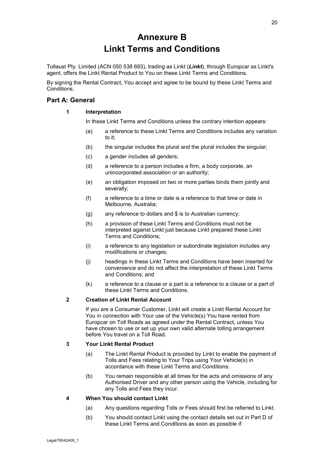# **Annexure B Linkt Terms and Conditions**

Tollaust Pty. Limited (ACN 050 538 693), trading as Linkt (*Linkt*), through Europcar as Linkt's agent, offers the Linkt Rental Product to You on these Linkt Terms and Conditions.

By signing the Rental Contract, You accept and agree to be bound by these Linkt Terms and Conditions.

#### <span id="page-19-0"></span>**Part A: General**

#### **1 Interpretation**

In these Linkt Terms and Conditions unless the contrary intention appears:

- (a) a reference to these Linkt Terms and Conditions includes any variation to it;
- (b) the singular includes the plural and the plural includes the singular;
- (c) a gender includes all genders;
- (d) a reference to a person includes a firm, a body corporate, an unincorporated association or an authority;
- (e) an obligation imposed on two or more parties binds them jointly and severally;
- (f) a reference to a time or date is a reference to that time or date in Melbourne, Australia;
- (g) any reference to dollars and \$ is to Australian currency;
- (h) a provision of these Linkt Terms and Conditions must not be interpreted against Linkt just because Linkt prepared these Linkt Terms and Conditions;
- (i) a reference to any legislation or subordinate legislation includes any modifications or changes;
- (j) headings in these Linkt Terms and Conditions have been inserted for convenience and do not affect the interpretation of these Linkt Terms and Conditions; and
- (k) a reference to a clause or a part is a reference to a clause or a part of these Linkt Terms and Conditions.

#### <span id="page-19-1"></span>**2 Creation of Linkt Rental Account**

If you are a Consumer Customer, Linkt will create a Linkt Rental Account for You in connection with Your use of the Vehicle(s) You have rented from Europcar on Toll Roads as agreed under the Rental Contract, unless You have chosen to use or set up your own valid alternate tolling arrangement before You travel on a Toll Road.

#### <span id="page-19-2"></span>**3 Your Linkt Rental Product**

- (a) The Linkt Rental Product is provided by Linkt to enable the payment of Tolls and Fees relating to Your Trips using Your Vehicle(s) in accordance with these Linkt Terms and Conditions.
- (b) You remain responsible at all times for the acts and omissions of any Authorised Driver and any other person using the Vehicle, including for any Tolls and Fees they incur.

#### <span id="page-19-3"></span>**4 When You should contact Linkt**

- (a) Any questions regarding Tolls or Fees should first be referred to Linkt.
- (b) You should contact Linkt using the contact details set out in Part D of these Linkt Terms and Conditions as soon as possible if: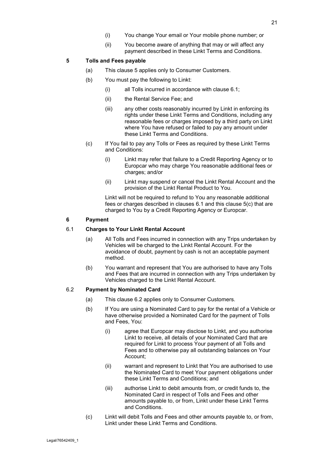(ii) You become aware of anything that may or will affect any payment described in these Linkt Terms and Conditions.

#### <span id="page-20-5"></span><span id="page-20-0"></span>**5 Tolls and Fees payable**

- (a) This clause [5](#page-20-0) applies only to Consumer Customers.
- <span id="page-20-6"></span>(b) You must pay the following to Linkt:
	- (i) all Tolls incurred in accordance with clause [6.1;](#page-20-2)
	- (ii) the Rental Service Fee; and
	- (iii) any other costs reasonably incurred by Linkt in enforcing its rights under these Linkt Terms and Conditions, including any reasonable fees or charges imposed by a third party on Linkt where You have refused or failed to pay any amount under these Linkt Terms and Conditions.
- <span id="page-20-3"></span>(c) If You fail to pay any Tolls or Fees as required by these Linkt Terms and Conditions:
	- (i) Linkt may refer that failure to a Credit Reporting Agency or to Europcar who may charge You reasonable additional fees or charges; and/or
	- (ii) Linkt may suspend or cancel the Linkt Rental Account and the provision of the Linkt Rental Product to You.

Linkt will not be required to refund to You any reasonable additional fees or charges described in clauses [6.1](#page-20-2) and this clause [5\(c\)](#page-20-3) that are charged to You by a Credit Reporting Agency or Europcar.

#### <span id="page-20-1"></span>**6 Payment**

#### <span id="page-20-2"></span>6.1 **Charges to Your Linkt Rental Account**

- (a) All Tolls and Fees incurred in connection with any Trips undertaken by Vehicles will be charged to the Linkt Rental Account. For the avoidance of doubt, payment by cash is not an acceptable payment method.
- (b) You warrant and represent that You are authorised to have any Tolls and Fees that are incurred in connection with any Trips undertaken by Vehicles charged to the Linkt Rental Account.

#### <span id="page-20-4"></span>6.2 **Payment by Nominated Card**

- (a) This clause [6.2](#page-20-4) applies only to Consumer Customers.
- (b) If You are using a Nominated Card to pay for the rental of a Vehicle or have otherwise provided a Nominated Card for the payment of Tolls and Fees, You:
	- (i) agree that Europcar may disclose to Linkt, and you authorise Linkt to receive, all details of your Nominated Card that are required for Linkt to process Your payment of all Tolls and Fees and to otherwise pay all outstanding balances on Your Account;
	- (ii) warrant and represent to Linkt that You are authorised to use the Nominated Card to meet Your payment obligations under these Linkt Terms and Conditions; and
	- (iii) authorise Linkt to debit amounts from, or credit funds to, the Nominated Card in respect of Tolls and Fees and other amounts payable to, or from, Linkt under these Linkt Terms and Conditions.
- (c) Linkt will debit Tolls and Fees and other amounts payable to, or from, Linkt under these Linkt Terms and Conditions.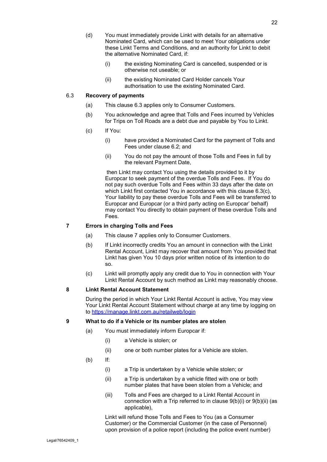- (d) You must immediately provide Linkt with details for an alternative Nominated Card, which can be used to meet Your obligations under these Linkt Terms and Conditions, and an authority for Linkt to debit the alternative Nominated Card, if:
	- (i) the existing Nominating Card is cancelled, suspended or is otherwise not useable; or
	- (ii) the existing Nominated Card Holder cancels Your authorisation to use the existing Nominated Card.

#### <span id="page-21-3"></span>6.3 **Recovery of payments**

- (a) This clause [6.3](#page-21-3) applies only to Consumer Customers.
- (b) You acknowledge and agree that Tolls and Fees incurred by Vehicles for Trips on Toll Roads are a debt due and payable by You to Linkt.
- <span id="page-21-4"></span>(c) If You:
	- (i) have provided a Nominated Card for the payment of Tolls and Fees under clause [6.2;](#page-20-4) and
	- (ii) You do not pay the amount of those Tolls and Fees in full by the relevant Payment Date,

then Linkt may contact You using the details provided to it by Europcar to seek payment of the overdue Tolls and Fees. If You do not pay such overdue Tolls and Fees within 33 days after the date on which Linkt first contacted You in accordance with this clause [6.3\(c\),](#page-21-4) Your liability to pay these overdue Tolls and Fees will be transferred to Europcar and Europcar (or a third party acting on Europcar' behalf) may contact You directly to obtain payment of these overdue Tolls and Fees.

#### <span id="page-21-0"></span>**7 Errors in charging Tolls and Fees**

- (a) This clause [7](#page-21-0) applies only to Consumer Customers.
- (b) If Linkt incorrectly credits You an amount in connection with the Linkt Rental Account, Linkt may recover that amount from You provided that Linkt has given You 10 days prior written notice of its intention to do so.
- (c) Linkt will promptly apply any credit due to You in connection with Your Linkt Rental Account by such method as Linkt may reasonably choose.

#### <span id="page-21-1"></span>**8 Linkt Rental Account Statement**

During the period in which Your Linkt Rental Account is active, You may view Your Linkt Rental Account Statement without charge at any time by logging on to<https://manage.linkt.com.au/retailweb/login>

#### <span id="page-21-2"></span>**9 What to do if a Vehicle or its number plates are stolen**

- (a) You must immediately inform Europcar if:
	- (i) a Vehicle is stolen; or
	- (ii) one or both number plates for a Vehicle are stolen.
- <span id="page-21-6"></span><span id="page-21-5"></span>(b) If:
	- (i) a Trip is undertaken by a Vehicle while stolen; or
	- (ii) a Trip is undertaken by a vehicle fitted with one or both number plates that have been stolen from a Vehicle; and
	- (iii) Tolls and Fees are charged to a Linkt Rental Account in connection with a Trip referred to in clause [9\(b\)\(i\)](#page-21-5) or [9\(b\)\(ii\)](#page-21-6) (as applicable),

Linkt will refund those Tolls and Fees to You (as a Consumer Customer) or the Commercial Customer (in the case of Personnel) upon provision of a police report (including the police event number)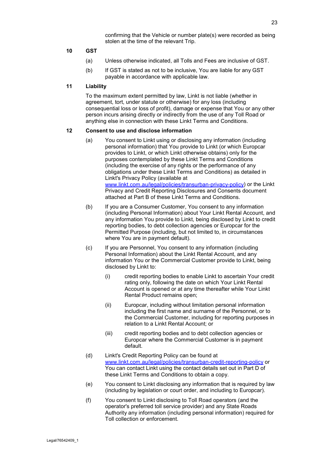confirming that the Vehicle or number plate(s) were recorded as being stolen at the time of the relevant Trip.

#### <span id="page-22-0"></span>**10 GST**

- (a) Unless otherwise indicated, all Tolls and Fees are inclusive of GST.
- (b) If GST is stated as not to be inclusive, You are liable for any GST payable in accordance with applicable law.

#### <span id="page-22-1"></span>**11 Liability**

To the maximum extent permitted by law, Linkt is not liable (whether in agreement, tort, under statute or otherwise) for any loss (including consequential loss or loss of profit), damage or expense that You or any other person incurs arising directly or indirectly from the use of any Toll Road or anything else in connection with these Linkt Terms and Conditions.

#### <span id="page-22-2"></span>**12 Consent to use and disclose information**

- (a) You consent to Linkt using or disclosing any information (including personal information) that You provide to Linkt (or which Europcar provides to Linkt, or which Linkt otherwise obtains) only for the purposes contemplated by these Linkt Terms and Conditions (including the exercise of any rights or the performance of any obligations under these Linkt Terms and Conditions) as detailed in Linkt's Privacy Policy (available at [www.linkt.com.au/legal/policies/transurban-privacy-policy\)](https://www.linkt.com.au/legal/policies/transurban-privacy-policy) or the Linkt Privacy and Credit Reporting Disclosures and Consents document attached at Part B of these Linkt Terms and Conditions.
- (b) If you are a Consumer Customer, You consent to any information (including Personal Information) about Your Linkt Rental Account, and any information You provide to Linkt, being disclosed by Linkt to credit reporting bodies, to debt collection agencies or Europcar for the Permitted Purpose (including, but not limited to, in circumstances where You are in payment default).
- (c) If you are Personnel, You consent to any information (including Personal Information) about the Linkt Rental Account, and any information You or the Commercial Customer provide to Linkt, being disclosed by Linkt to:
	- (i) credit reporting bodies to enable Linkt to ascertain Your credit rating only, following the date on which Your Linkt Rental Account is opened or at any time thereafter while Your Linkt Rental Product remains open;
	- (ii) Europcar, including without limitation personal information including the first name and surname of the Personnel, or to the Commercial Customer, including for reporting purposes in relation to a Linkt Rental Account; or
	- (iii) credit reporting bodies and to debt collection agencies or Europcar where the Commercial Customer is in payment default.
- (d) Linkt's Credit Reporting Policy can be found at [www.linkt.com.au/legal/policies/transurban-credit-reporting-policy](https://www.linkt.com.au/legal/policies/transurban-credit-reporting-policy) or You can contact Linkt using the contact details set out in Part D of these Linkt Terms and Conditions to obtain a copy.
- (e) You consent to Linkt disclosing any information that is required by law (including by legislation or court order, and including to Europcar).
- (f) You consent to Linkt disclosing to Toll Road operators (and the operator's preferred toll service provider) and any State Roads Authority any information (including personal information) required for Toll collection or enforcement.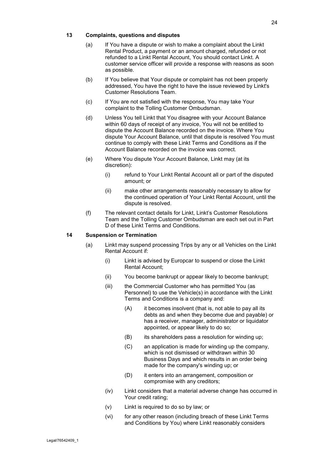#### <span id="page-23-0"></span>**13 Complaints, questions and disputes**

- (a) If You have a dispute or wish to make a complaint about the Linkt Rental Product, a payment or an amount charged, refunded or not refunded to a Linkt Rental Account, You should contact Linkt. A customer service officer will provide a response with reasons as soon as possible.
- (b) If You believe that Your dispute or complaint has not been properly addressed, You have the right to have the issue reviewed by Linkt's Customer Resolutions Team.
- (c) If You are not satisfied with the response, You may take Your complaint to the Tolling Customer Ombudsman.
- (d) Unless You tell Linkt that You disagree with your Account Balance within 60 days of receipt of any invoice, You will not be entitled to dispute the Account Balance recorded on the invoice. Where You dispute Your Account Balance, until that dispute is resolved You must continue to comply with these Linkt Terms and Conditions as if the Account Balance recorded on the invoice was correct.
- (e) Where You dispute Your Account Balance, Linkt may (at its discretion):
	- (i) refund to Your Linkt Rental Account all or part of the disputed amount; or
	- (ii) make other arrangements reasonably necessary to allow for the continued operation of Your Linkt Rental Account, until the dispute is resolved.
- (f) The relevant contact details for Linkt, Linkt's Customer Resolutions Team and the Tolling Customer Ombudsman are each set out in Part D of these Linkt Terms and Conditions.

#### <span id="page-23-1"></span>**14 Suspension or Termination**

- (a) Linkt may suspend processing Trips by any or all Vehicles on the Linkt Rental Account if:
	- (i) Linkt is advised by Europcar to suspend or close the Linkt Rental Account;
	- (ii) You become bankrupt or appear likely to become bankrupt;
	- (iii) the Commercial Customer who has permitted You (as Personnel) to use the Vehicle(s) in accordance with the Linkt Terms and Conditions is a company and:
		- (A) it becomes insolvent (that is, not able to pay all its debts as and when they become due and payable) or has a receiver, manager, administrator or liquidator appointed, or appear likely to do so;
		- (B) its shareholders pass a resolution for winding up;
		- (C) an application is made for winding up the company, which is not dismissed or withdrawn within 30 Business Days and which results in an order being made for the company's winding up; or
		- (D) it enters into an arrangement, composition or compromise with any creditors;
	- (iv) Linkt considers that a material adverse change has occurred in Your credit rating;
	- (v) Linkt is required to do so by law; or
	- (vi) for any other reason (including breach of these Linkt Terms and Conditions by You) where Linkt reasonably considers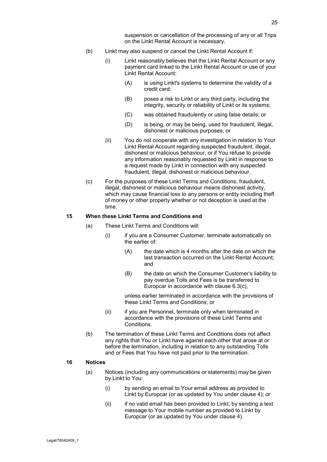suspension or cancellation of the processing of any or all Trips on the Linkt Rental Account is necessary.

- (b) Linkt may also suspend or cancel the Linkt Rental Account if:
	- (i) Linkt reasonably believes that the Linkt Rental Account or any payment card linked to the Linkt Rental Account or use of your Linkt Rental Account:
		- (A) is using Linkt's systems to determine the validity of a credit card;
		- (B) poses a risk to Linkt or any third party, including the integrity, security or reliability of Linkt or its systems;
		- (C) was obtained fraudulently or using false details; or
		- (D) is being, or may be being, used for fraudulent, illegal, dishonest or malicious purposes; or
	- (ii) You do not cooperate with any investigation in relation to Your Linkt Rental Account regarding suspected fraudulent, illegal, dishonest or malicious behaviour, or if You refuse to provide any information reasonably requested by Linkt in response to a request made by Linkt in connection with any suspected fraudulent, illegal, dishonest or malicious behaviour.
- (c) For the purposes of these Linkt Terms and Conditions, fraudulent, illegal, dishonest or malicious behaviour means dishonest activity, which may cause financial loss to any persons or entity including theft of money or other property whether or not deception is used at the time.

#### <span id="page-24-0"></span>**15 When these Linkt Terms and Conditions end**

- (a) These Linkt Terms and Conditions will:
	- (i) if you are a Consumer Customer, terminate automatically on the earlier of:
		- (A) the date which is 4 months after the date on which the last transaction occurred on the Linkt Rental Account; and
		- (B) the date on which the Consumer Customer's liability to pay overdue Tolls and Fees is be transferred to Europcar in accordance with clause [6.3\(c\),](#page-21-4)

unless earlier terminated in accordance with the provisions of these Linkt Terms and Conditions; or

- (ii) if you are Personnel, terminate only when terminated in accordance with the provisions of these Linkt Terms and Conditions.
- (b) The termination of these Linkt Terms and Conditions does not affect any rights that You or Linkt have against each other that arose at or before the termination, including in relation to any outstanding Tolls and or Fees that You have not paid prior to the termination.

#### <span id="page-24-1"></span>**16 Notices**

- (a) Notices (including any communications or statements) may be given by Linkt to You:
	- (i) by sending an email to Your email address as provided to Linkt by Europcar (or as updated by You under clause [4\)](#page-19-3); or
	- (ii) if no valid email has been provided to Linkt, by sending a text message to Your mobile number as provided to Linkt by Europcar (or as updated by You under clause [4\)](#page-19-3).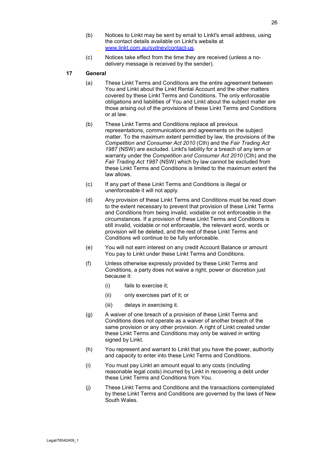- (b) Notices to Linkt may be sent by email to Linkt's email address, using the contact details available on Linkt's website at [www.linkt.com.au/sydney/contact-us.](https://www.linkt.com.au/sydney/contact-us)
- (c) Notices take effect from the time they are received (unless a nodelivery message is received by the sender).

#### <span id="page-25-0"></span>**17 General**

- (a) These Linkt Terms and Conditions are the entire agreement between You and Linkt about the Linkt Rental Account and the other matters covered by these Linkt Terms and Conditions. The only enforceable obligations and liabilities of You and Linkt about the subject matter are those arising out of the provisions of these Linkt Terms and Conditions or at law.
- (b) These Linkt Terms and Conditions replace all previous representations, communications and agreements on the subject matter. To the maximum extent permitted by law, the provisions of the *Competition and Consumer Act 2010* (Cth) and the *Fair Trading Act 1987* (NSW) are excluded. Linkt's liability for a breach of any term or warranty under the *Competition and Consumer Act 2010* (Cth) and the *Fair Trading Act 1987* (NSW) which by law cannot be excluded from these Linkt Terms and Conditions is limited to the maximum extent the law allows.
- (c) If any part of these Linkt Terms and Conditions is illegal or unenforceable it will not apply.
- (d) Any provision of these Linkt Terms and Conditions must be read down to the extent necessary to prevent that provision of these Linkt Terms and Conditions from being invalid, voidable or not enforceable in the circumstances. If a provision of these Linkt Terms and Conditions is still invalid, voidable or not enforceable, the relevant word, words or provision will be deleted, and the rest of these Linkt Terms and Conditions will continue to be fully enforceable.
- (e) You will not earn interest on any credit Account Balance or amount You pay to Linkt under these Linkt Terms and Conditions.
- (f) Unless otherwise expressly provided by these Linkt Terms and Conditions, a party does not waive a right, power or discretion just because it:
	- (i) fails to exercise it;
	- (ii) only exercises part of it; or
	- (iii) delays in exercising it.
- (g) A waiver of one breach of a provision of these Linkt Terms and Conditions does not operate as a waiver of another breach of the same provision or any other provision. A right of Linkt created under these Linkt Terms and Conditions may only be waived in writing signed by Linkt.
- (h) You represent and warrant to Linkt that you have the power, authority and capacity to enter into these Linkt Terms and Conditions.
- (i) You must pay Linkt an amount equal to any costs (including reasonable legal costs) incurred by Linkt in recovering a debt under these Linkt Terms and Conditions from You.
- (j) These Linkt Terms and Conditions and the transactions contemplated by these Linkt Terms and Conditions are governed by the laws of New South Wales.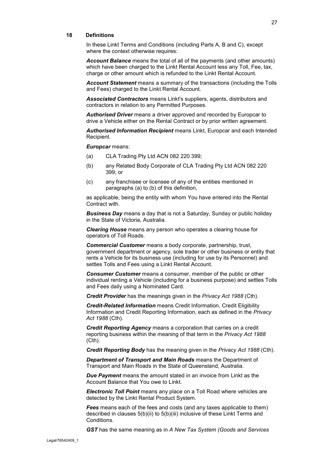#### <span id="page-26-0"></span>**18 Definitions**

In these Linkt Terms and Conditions (including Parts A, B and C), except where the context otherwise requires:

*Account Balance* means the total of all of the payments (and other amounts) which have been charged to the Linkt Rental Account less any Toll, Fee, tax, charge or other amount which is refunded to the Linkt Rental Account.

*Account Statement* means a summary of the transactions (including the Tolls and Fees) charged to the Linkt Rental Account.

*Associated Contractors* means Linkt's suppliers, agents, distributors and contractors in relation to any Permitted Purposes.

*Authorised Driver* means a driver approved and recorded by Europcar to drive a Vehicle either on the Rental Contract or by prior written agreement.

*Authorised Information Recipient* means Linkt, Europcar and each Intended Recipient.

*Europcar* means:

- (a) CLA Trading Pty Ltd ACN 082 220 399;
- (b) any Related Body Corporate of CLA Trading Pty Ltd ACN 082 220 399; or
- (c) any franchisee or licensee of any of the entities mentioned in paragraphs (a) to (b) of this definition,

as applicable, being the entity with whom You have entered into the Rental Contract with.

*Business Day* means a day that is not a Saturday, Sunday or public holiday in the State of Victoria, Australia.

*Clearing House* means any person who operates a clearing house for operators of Toll Roads.

*Commercial Customer* means a body corporate, partnership, trust, government department or agency, sole trader or other business or entity that rents a Vehicle for its business use (including for use by its Personnel) and settles Tolls and Fees using a Linkt Rental Account.

*Consumer Customer* means a consumer, member of the public or other individual renting a Vehicle (including for a business purpose) and settles Tolls and Fees daily using a Nominated Card.

*Credit Provider* has the meanings given in the *Privacy Act 1988* (Cth).

*Credit-Related Information* means Credit Information, Credit Eligibility Information and Credit Reporting Information, each as defined in the *Privacy Act 1988* (Cth).

*Credit Reporting Agency* means a corporation that carries on a credit reporting business within the meaning of that term in the *Privacy Act 1988*  (Cth).

*Credit Reporting Body* has the meaning given in the *Privacy Act 1988* (Cth).

*Department of Transport and Main Roads* means the Department of Transport and Main Roads in the State of Queensland, Australia.

*Due Payment* means the amount stated in an invoice from Linkt as the Account Balance that You owe to Linkt.

*Electronic Toll Point* means any place on a Toll Road where vehicles are detected by the Linkt Rental Product System.

*Fees* means each of the fees and costs (and any taxes applicable to them) described in clauses [5\(b\)\(ii\)](#page-20-5) to [5\(b\)\(iii\)](#page-20-6) inclusive of these Linkt Terms and Conditions.

*GST* has the same meaning as in *A New Tax System (Goods and Services*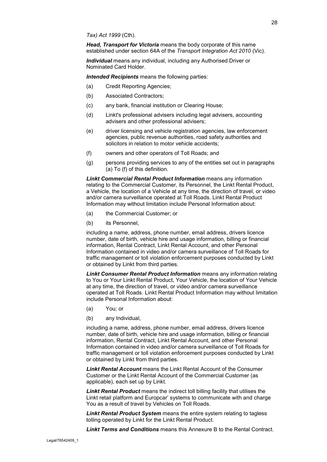*Head, Transport for Victoria* means the body corporate of this name established under section 64A of the *Transport Integration Act 2010* (Vic).

*Individual* means any individual, including any Authorised Driver or Nominated Card Holder.

*Intended Recipients* means the following parties:

- (a) Credit Reporting Agencies;
- (b) Associated Contractors;
- (c) any bank, financial institution or Clearing House;
- (d) Linkt's professional advisers including legal advisers, accounting advisers and other professional advisers;
- (e) driver licensing and vehicle registration agencies, law enforcement agencies, public revenue authorities, road safety authorities and solicitors in relation to motor vehicle accidents;
- (f) owners and other operators of Toll Roads; and
- (g) persons providing services to any of the entities set out in paragraphs (a) To (f) of this definition.

*Linkt Commercial Rental Product Information* means any information relating to the Commercial Customer, its Personnel, the Linkt Rental Product, a Vehicle, the location of a Vehicle at any time, the direction of travel, or video and/or camera surveillance operated at Toll Roads. Linkt Rental Product Information may without limitation include Personal Information about:

- (a) the Commercial Customer; or
- (b) its Personnel,

including a name, address, phone number, email address, drivers licence number, date of birth, vehicle hire and usage information, billing or financial information, Rental Contract, Linkt Rental Account, and other Personal Information contained in video and/or camera surveillance of Toll Roads for traffic management or toll violation enforcement purposes conducted by Linkt or obtained by Linkt from third parties.

*Linkt Consumer Rental Product Information* means any information relating to You or Your Linkt Rental Product, Your Vehicle, the location of Your Vehicle at any time, the direction of travel, or video and/or camera surveillance operated at Toll Roads. Linkt Rental Product Information may without limitation include Personal Information about:

- (a) You; or
- (b) any Individual,

including a name, address, phone number, email address, drivers licence number, date of birth, vehicle hire and usage information, billing or financial information, Rental Contract, Linkt Rental Account, and other Personal Information contained in video and/or camera surveillance of Toll Roads for traffic management or toll violation enforcement purposes conducted by Linkt or obtained by Linkt from third parties.

*Linkt Rental Account* means the Linkt Rental Account of the Consumer Customer or the Linkt Rental Account of the Commercial Customer (as applicable), each set up by Linkt.

*Linkt Rental Product* means the indirect toll billing facility that utilises the Linkt retail platform and Europcar' systems to communicate with and charge You as a result of travel by Vehicles on Toll Roads.

*Linkt Rental Product System* means the entire system relating to tagless tolling operated by Linkt for the Linkt Rental Product.

*Linkt Terms and Conditions* means this Annexure B to the Rental Contract.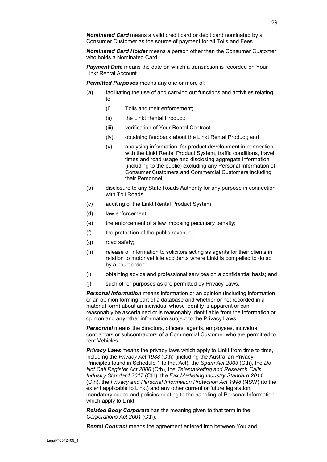*Nominated Card Holder* means a person other than the Consumer Customer who holds a Nominated Card.

*Payment Date* means the date on which a transaction is recorded on Your Linkt Rental Account.

*Permitted Purposes* means any one or more of:

- (a) facilitating the use of and carrying out functions and activities relating to:
	- (i) Tolls and their enforcement;
	- (ii) the Linkt Rental Product;
	- (iii) verification of Your Rental Contract;
	- (iv) obtaining feedback about the Linkt Rental Product; and
	- (v) analysing information for product development in connection with the Linkt Rental Product System, traffic conditions, travel times and road usage and disclosing aggregate information (including to the public) excluding any Personal Information of Consumer Customers and Commercial Customers including their Personnel;
- (b) disclosure to any State Roads Authority for any purpose in connection with Toll Roads;
- (c) auditing of the Linkt Rental Product System;
- (d) law enforcement;
- (e) the enforcement of a law imposing pecuniary penalty;
- (f) the protection of the public revenue;
- (g) road safety;
- (h) release of information to solicitors acting as agents for their clients in relation to motor vehicle accidents where Linkt is compelled to do so by a court order;
- (i) obtaining advice and professional services on a confidential basis; and
- (j) such other purposes as are permitted by Privacy Laws.

*Personal Information* means information or an opinion (including information or an opinion forming part of a database and whether or not recorded in a material form) about an individual whose identity is apparent or can reasonably be ascertained or is reasonably identifiable from the information or opinion and any other information subject to the Privacy Laws.

*Personnel* means the directors, officers, agents, employees, individual contractors or subcontractors of a Commercial Customer who are permitted to rent Vehicles.

**Privacy Laws** means the privacy laws which apply to Linkt from time to time, including the *Privacy Act 1988* (Cth) (including the Australian Privacy Principles found in Schedule 1 to that Act), the *Spam Act 2003* (Cth), the *Do Not Call Register Act 2006* (Cth), the *Telemarketing and Research Calls Industry Standard 2017* (Cth), the *Fax Marketing Industry Standard 2011*  (Cth), the *Privacy and Personal Information Protection Act 1998* (NSW) (to the extent applicable to Linkt) and any other current or future legislation, mandatory codes and policies relating to the handling of Personal Information which apply to Linkt.

*Related Body Corporate* has the meaning given to that term in the *Corporations Act 2001* (Cth).

*Rental Contract* means the agreement entered into between You and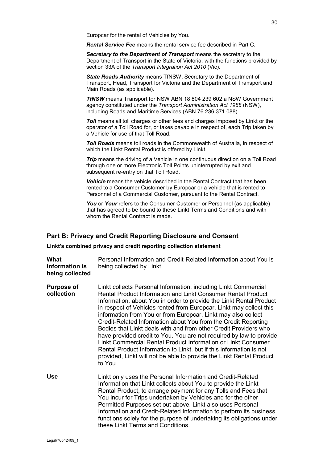Europcar for the rental of Vehicles by You.

*Rental Service Fee* means the rental service fee described in Part C.

*Secretary to the Department of Transport* means the secretary to the Department of Transport in the State of Victoria, with the functions provided by section 33A of the *Transport Integration Act 2010* (Vic).

*State Roads Authority* means TfNSW, Secretary to the Department of Transport, Head, Transport for Victoria and the Department of Transport and Main Roads (as applicable).

*TfNSW* means Transport for NSW ABN 18 804 239 602 a NSW Government agency constituted under the *Transport Administration Act 1988* (NSW), including Roads and Maritime Services (ABN 76 236 371 088).

**Toll** means all toll charges or other fees and charges imposed by Linkt or the operator of a Toll Road for, or taxes payable in respect of, each Trip taken by a Vehicle for use of that Toll Road.

*Toll Roads* means toll roads in the Commonwealth of Australia, in respect of which the Linkt Rental Product is offered by Linkt.

**Trip** means the driving of a Vehicle in one continuous direction on a Toll Road through one or more Electronic Toll Points uninterrupted by exit and subsequent re-entry on that Toll Road.

*Vehicle* means the vehicle described in the Rental Contract that has been rented to a Consumer Customer by Europcar or a vehicle that is rented to Personnel of a Commercial Customer, pursuant to the Rental Contract.

You or Your refers to the Consumer Customer or Personnel (as applicable) that has agreed to be bound to these Linkt Terms and Conditions and with whom the Rental Contract is made.

#### **Part B: Privacy and Credit Reporting Disclosure and Consent**

**Linkt's combined privacy and credit reporting collection statement**

**What information is being collected** Personal Information and Credit-Related Information about You is being collected by Linkt. **Purpose of collection** Linkt collects Personal Information, including Linkt Commercial Rental Product Information and Linkt Consumer Rental Product Information, about You in order to provide the Linkt Rental Product in respect of Vehicles rented from Europcar. Linkt may collect this information from You or from Europcar. Linkt may also collect Credit-Related Information about You from the Credit Reporting Bodies that Linkt deals with and from other Credit Providers who have provided credit to You. You are not required by law to provide Linkt Commercial Rental Product Information or Linkt Consumer Rental Product Information to Linkt, but if this information is not provided, Linkt will not be able to provide the Linkt Rental Product to You. **Use** Linkt only uses the Personal Information and Credit-Related Information that Linkt collects about You to provide the Linkt Rental Product, to arrange payment for any Tolls and Fees that You incur for Trips undertaken by Vehicles and for the other Permitted Purposes set out above. Linkt also uses Personal Information and Credit-Related Information to perform its business functions solely for the purpose of undertaking its obligations under these Linkt Terms and Conditions.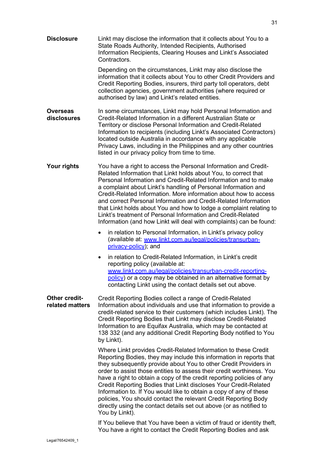**Disclosure** Linkt may disclose the information that it collects about You to a State Roads Authority, Intended Recipients, Authorised Information Recipients, Clearing Houses and Linkt's Associated Contractors.

Depending on the circumstances, Linkt may also disclose the information that it collects about You to other Credit Providers and Credit Reporting Bodies, insurers, third party toll operators, debt collection agencies, government authorities (where required or authorised by law) and Linkt's related entities.

- **Overseas disclosures** In some circumstances, Linkt may hold Personal Information and Credit-Related Information in a different Australian State or Territory or disclose Personal Information and Credit-Related Information to recipients (including Linkt's Associated Contractors) located outside Australia in accordance with any applicable Privacy Laws, including in the Philippines and any other countries listed in our privacy policy from time to time.
- **Your rights** You have a right to access the Personal Information and Credit-Related Information that Linkt holds about You, to correct that Personal Information and Credit-Related Information and to make a complaint about Linkt's handling of Personal Information and Credit-Related Information. More information about how to access and correct Personal Information and Credit-Related Information that Linkt holds about You and how to lodge a complaint relating to Linkt's treatment of Personal Information and Credit-Related Information (and how Linkt will deal with complaints) can be found:
	- in relation to Personal Information, in Linkt's privacy policy (available at: [www.linkt.com.au/legal/policies/transurban](https://www.linkt.com.au/legal/policies/transurban-privacy-policy)[privacy-policy\)](https://www.linkt.com.au/legal/policies/transurban-privacy-policy); and
	- in relation to Credit-Related Information, in Linkt's credit reporting policy (available at: [www.linkt.com.au/legal/policies/transurban-credit-reporting](https://www.linkt.com.au/legal/policies/transurban-credit-reporting-policy)[policy\)](https://www.linkt.com.au/legal/policies/transurban-credit-reporting-policy) or a copy may be obtained in an alternative format by contacting Linkt using the contact details set out above.

#### **Other creditrelated matters** Credit Reporting Bodies collect a range of Credit-Related Information about individuals and use that information to provide a credit-related service to their customers (which includes Linkt). The Credit Reporting Bodies that Linkt may disclose Credit-Related Information to are Equifax Australia, which may be contacted at 138 332 (and any additional Credit Reporting Body notified to You by Linkt).

Where Linkt provides Credit-Related Information to these Credit Reporting Bodies, they may include this information in reports that they subsequently provide about You to other Credit Providers in order to assist those entities to assess their credit worthiness. You have a right to obtain a copy of the credit reporting policies of any Credit Reporting Bodies that Linkt discloses Your Credit-Related Information to. If You would like to obtain a copy of any of these policies, You should contact the relevant Credit Reporting Body directly using the contact details set out above (or as notified to You by Linkt).

If You believe that You have been a victim of fraud or identity theft, You have a right to contact the Credit Reporting Bodies and ask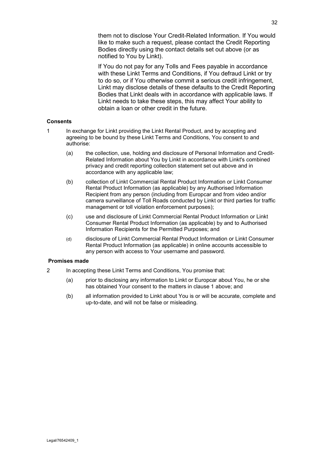them not to disclose Your Credit-Related Information. If You would like to make such a request, please contact the Credit Reporting Bodies directly using the contact details set out above (or as notified to You by Linkt).

If You do not pay for any Tolls and Fees payable in accordance with these Linkt Terms and Conditions, if You defraud Linkt or try to do so, or if You otherwise commit a serious credit infringement, Linkt may disclose details of these defaults to the Credit Reporting Bodies that Linkt deals with in accordance with applicable laws. If Linkt needs to take these steps, this may affect Your ability to obtain a loan or other credit in the future.

#### **Consents**

- <span id="page-31-0"></span>1 In exchange for Linkt providing the Linkt Rental Product, and by accepting and agreeing to be bound by these Linkt Terms and Conditions, You consent to and authorise:
	- (a) the collection, use, holding and disclosure of Personal Information and Credit-Related Information about You by Linkt in accordance with Linkt's combined privacy and credit reporting collection statement set out above and in accordance with any applicable law;
	- (b) collection of Linkt Commercial Rental Product Information or Linkt Consumer Rental Product Information (as applicable) by any Authorised Information Recipient from any person (including from Europcar and from video and/or camera surveillance of Toll Roads conducted by Linkt or third parties for traffic management or toll violation enforcement purposes);
	- (c) use and disclosure of Linkt Commercial Rental Product Information or Linkt Consumer Rental Product Information (as applicable) by and to Authorised Information Recipients for the Permitted Purposes; and
	- (d) disclosure of Linkt Commercial Rental Product Information or Linkt Consumer Rental Product Information (as applicable) in online accounts accessible to any person with access to Your username and password.

#### **Promises made**

- 2 In accepting these Linkt Terms and Conditions, You promise that:
	- (a) prior to disclosing any information to Linkt or Europcar about You, he or she has obtained Your consent to the matters in clause [1](#page-31-0) above; and
	- (b) all information provided to Linkt about You is or will be accurate, complete and up-to-date, and will not be false or misleading.